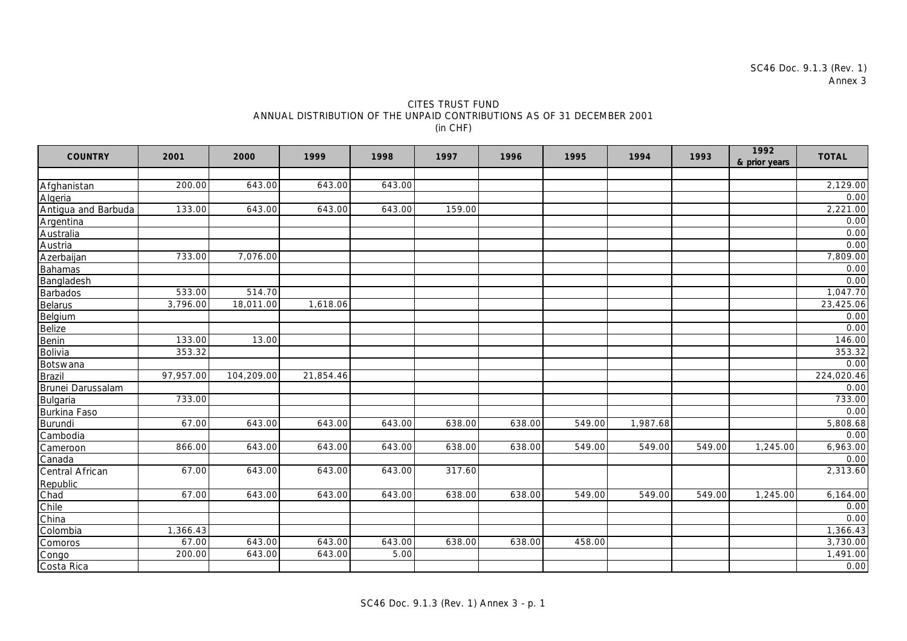| CITES TRUST FUND                                                       |
|------------------------------------------------------------------------|
| ANNUAL DISTRIBUTION OF THE UNPAID CONTRIBUTIONS AS OF 31 DECEMBER 2001 |
| (in CHF)                                                               |

| <b>COUNTRY</b>      | 2001      | 2000       | 1999      | 1998   | 1997   | 1996   | 1995   | 1994     | 1993   | 1992<br>& prior years | <b>TOTAL</b> |
|---------------------|-----------|------------|-----------|--------|--------|--------|--------|----------|--------|-----------------------|--------------|
|                     |           |            |           |        |        |        |        |          |        |                       |              |
| Afghanistan         | 200.00    | 643.00     | 643.00    | 643.00 |        |        |        |          |        |                       | 2,129.00     |
| Algeria             |           |            |           |        |        |        |        |          |        |                       | 0.00         |
| Antigua and Barbuda | 133.00    | 643.00     | 643.00    | 643.00 | 159.00 |        |        |          |        |                       | 2,221.00     |
| Argentina           |           |            |           |        |        |        |        |          |        |                       | 0.00         |
| Australia           |           |            |           |        |        |        |        |          |        |                       | 0.00         |
| Austria             |           |            |           |        |        |        |        |          |        |                       | 0.00         |
| Azerbaijan          | 733.00    | 7,076.00   |           |        |        |        |        |          |        |                       | 7,809.00     |
| <b>Bahamas</b>      |           |            |           |        |        |        |        |          |        |                       | 0.00         |
| <b>Bangladesh</b>   |           |            |           |        |        |        |        |          |        |                       | 0.00         |
| <b>Barbados</b>     | 533.00    | 514.70     |           |        |        |        |        |          |        |                       | 1,047.70     |
| <b>Belarus</b>      | 3,796.00  | 18,011.00  | 1,618.06  |        |        |        |        |          |        |                       | 23,425.06    |
| Belgium             |           |            |           |        |        |        |        |          |        |                       | 0.00         |
| Belize              |           |            |           |        |        |        |        |          |        |                       | 0.00         |
| Benin               | 133.00    | 13.00      |           |        |        |        |        |          |        |                       | 146.00       |
| Bolivia             | 353.32    |            |           |        |        |        |        |          |        |                       | 353.32       |
| Botswana            |           |            |           |        |        |        |        |          |        |                       | 0.00         |
| <b>Brazil</b>       | 97,957.00 | 104,209.00 | 21,854.46 |        |        |        |        |          |        |                       | 224,020.46   |
| Brunei Darussalam   |           |            |           |        |        |        |        |          |        |                       | 0.00         |
| Bulgaria            | 733.00    |            |           |        |        |        |        |          |        |                       | 733.00       |
| Burkina Faso        |           |            |           |        |        |        |        |          |        |                       | 0.00         |
| Burundi             | 67.00     | 643.00     | 643.00    | 643.00 | 638.00 | 638.00 | 549.00 | 1,987.68 |        |                       | 5,808.68     |
| Cambodia            |           |            |           |        |        |        |        |          |        |                       | 0.00         |
| Cameroon            | 866.00    | 643.00     | 643.00    | 643.00 | 638.00 | 638.00 | 549.00 | 549.00   | 549.00 | 1,245.00              | 6,963.00     |
| Canada              |           |            |           |        |        |        |        |          |        |                       | 0.00         |
| Central African     | 67.00     | 643.00     | 643.00    | 643.00 | 317.60 |        |        |          |        |                       | 2,313.60     |
| Republic            |           |            |           |        |        |        |        |          |        |                       |              |
| Chad                | 67.00     | 643.00     | 643.00    | 643.00 | 638.00 | 638.00 | 549.00 | 549.00   | 549.00 | 1,245.00              | 6,164.00     |
| Chile               |           |            |           |        |        |        |        |          |        |                       | 0.00         |
| China               |           |            |           |        |        |        |        |          |        |                       | 0.00         |
| Colombia            | 1,366.43  |            |           |        |        |        |        |          |        |                       | 1,366.43     |
| Comoros             | 67.00     | 643.00     | 643.00    | 643.00 | 638.00 | 638.00 | 458.00 |          |        |                       | 3,730.00     |
| Congo               | 200.00    | 643.00     | 643.00    | 5.00   |        |        |        |          |        |                       | 1,491.00     |
| Costa Rica          |           |            |           |        |        |        |        |          |        |                       | 0.00         |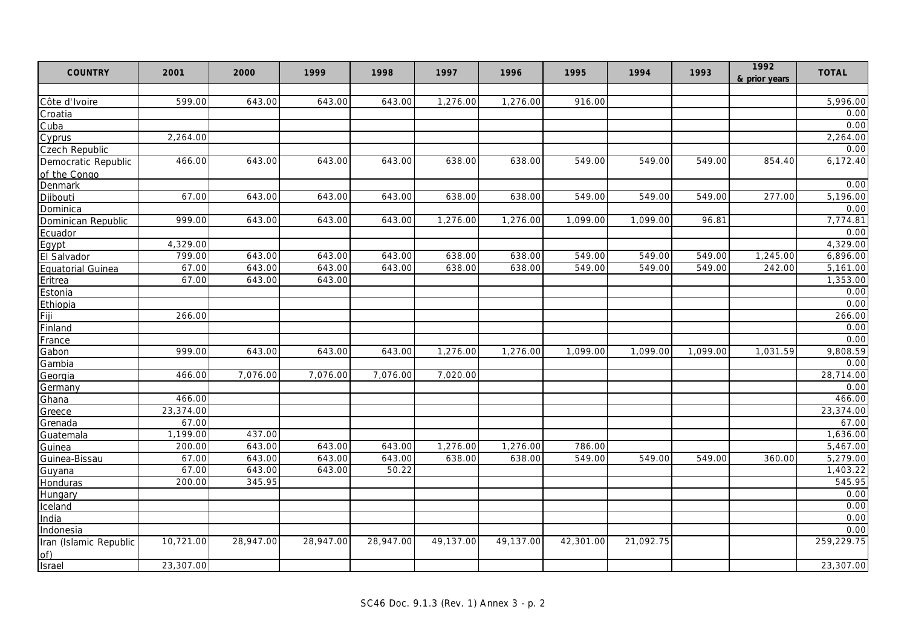| <b>COUNTRY</b>           | 2001      | 2000      | 1999      | 1998      | 1997      | 1996      | 1995      | 1994      | 1993     | 1992<br>& prior years | <b>TOTAL</b> |
|--------------------------|-----------|-----------|-----------|-----------|-----------|-----------|-----------|-----------|----------|-----------------------|--------------|
|                          |           |           |           |           |           |           |           |           |          |                       |              |
| Côte d'Ivoire            | 599.00    | 643.00    | 643.00    | 643.00    | 1,276.00  | 1,276.00  | 916.00    |           |          |                       | 5,996.00     |
| Croatia                  |           |           |           |           |           |           |           |           |          |                       | 0.00         |
| Cuba                     |           |           |           |           |           |           |           |           |          |                       | 0.00         |
| Cyprus                   | 2,264.00  |           |           |           |           |           |           |           |          |                       | 2,264.00     |
| <b>Czech Republic</b>    |           |           |           |           |           |           |           |           |          |                       | 0.00         |
| Democratic Republic      | 466.00    | 643.00    | 643.00    | 643.00    | 638.00    | 638.00    | 549.00    | 549.00    | 549.00   | 854.40                | 6,172.40     |
| of the Congo             |           |           |           |           |           |           |           |           |          |                       |              |
| Denmark                  |           |           |           |           |           |           |           |           |          |                       | 0.00         |
| Djibouti                 | 67.00     | 643.00    | 643.00    | 643.00    | 638.00    | 638.00    | 549.00    | 549.00    | 549.00   | 277.00                | 5,196.00     |
| Dominica                 |           |           |           |           |           |           |           |           |          |                       | 0.00         |
| Dominican Republic       | 999.00    | 643.00    | 643.00    | 643.00    | 1,276.00  | 1,276.00  | 1,099.00  | 1,099.00  | 96.81    |                       | 7,774.81     |
| Ecuador                  |           |           |           |           |           |           |           |           |          |                       | 0.00         |
| Eqypt                    | 4,329.00  |           |           |           |           |           |           |           |          |                       | 4,329.00     |
| El Salvador              | 799.00    | 643.00    | 643.00    | 643.00    | 638.00    | 638.00    | 549.00    | 549.00    | 549.00   | 1,245.00              | 6,896.00     |
| <b>Equatorial Guinea</b> | 67.00     | 643.00    | 643.00    | 643.00    | 638.00    | 638.00    | 549.00    | 549.00    | 549.00   | 242.00                | 5,161.00     |
| Eritrea                  | 67.00     | 643.00    | 643.00    |           |           |           |           |           |          |                       | 1,353.00     |
| Estonia                  |           |           |           |           |           |           |           |           |          |                       | 0.00         |
| Ethiopia                 |           |           |           |           |           |           |           |           |          |                       | 0.00         |
| Fiji                     | 266.00    |           |           |           |           |           |           |           |          |                       | 266.00       |
| Finland                  |           |           |           |           |           |           |           |           |          |                       | 0.00         |
| France                   |           |           |           |           |           |           |           |           |          |                       | 0.00         |
| Gabon                    | 999.00    | 643.00    | 643.00    | 643.00    | 1,276.00  | 1,276.00  | 1.099.00  | 1,099.00  | 1,099.00 | 1,031.59              | 9,808.59     |
| Gambia                   |           |           |           |           |           |           |           |           |          |                       | 0.00         |
| Georgia                  | 466.00    | 7,076.00  | 7,076.00  | 7,076.00  | 7,020.00  |           |           |           |          |                       | 28,714.00    |
| Germany                  |           |           |           |           |           |           |           |           |          |                       | 0.00         |
| Ghana                    | 466.00    |           |           |           |           |           |           |           |          |                       | 466.00       |
| Greece                   | 23,374.00 |           |           |           |           |           |           |           |          |                       | 23,374.00    |
| Grenada                  | 67.00     |           |           |           |           |           |           |           |          |                       | 67.00        |
| Guatemala                | 1,199.00  | 437.00    |           |           |           |           |           |           |          |                       | 1,636.00     |
| Guinea                   | 200.00    | 643.00    | 643.00    | 643.00    | 1,276.00  | 1,276.00  | 786.00    |           |          |                       | 5,467.00     |
| Guinea-Bissau            | 67.00     | 643.00    | 643.00    | 643.00    | 638.00    | 638.00    | 549.00    | 549.00    | 549.00   | 360.00                | 5,279.00     |
| Guyana                   | 67.00     | 643.00    | 643.00    | 50.22     |           |           |           |           |          |                       | 1,403.22     |
| Honduras                 | 200.00    | 345.95    |           |           |           |           |           |           |          |                       | 545.95       |
| Hungary                  |           |           |           |           |           |           |           |           |          |                       | 0.00         |
| Iceland                  |           |           |           |           |           |           |           |           |          |                       | 0.00         |
| India                    |           |           |           |           |           |           |           |           |          |                       | 0.00         |
| Indonesia                |           |           |           |           |           |           |           |           |          |                       | 0.00         |
| Iran (Islamic Republic   | 10,721.00 | 28,947.00 | 28,947.00 | 28,947.00 | 49,137.00 | 49,137.00 | 42,301.00 | 21,092.75 |          |                       | 259,229.75   |
| of)                      |           |           |           |           |           |           |           |           |          |                       |              |
| Israel                   | 23,307.00 |           |           |           |           |           |           |           |          |                       | 23,307.00    |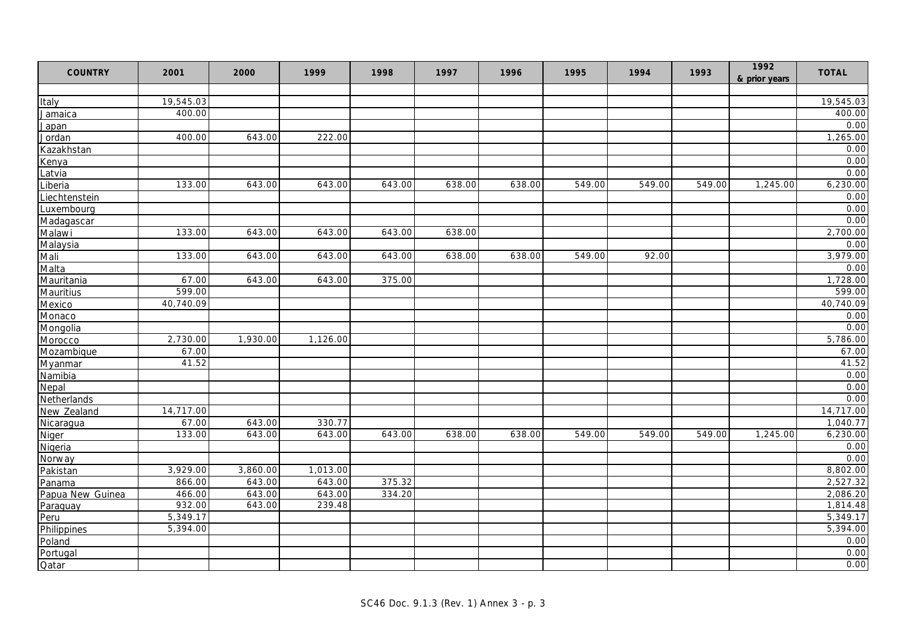| 19,545.03<br>19,545.03<br><b>Italy</b><br>400.00<br>400.00<br>Jamaica<br>0.00<br>Japan<br>643.00<br>222.00<br>1,265.00<br>400.00<br>Jordan<br>Kazakhstan<br>0.00<br>0.00<br>Kenya<br>Latvia<br>6,230.00<br>133.00<br>643.00<br>643.00<br>643.00<br>638.00<br>638.00<br>549.00<br>549.00<br>549.00<br>1,245.00<br>Liberia<br>Liechtenstein<br>Luxembourg<br>Madagascar<br>133.00<br>643.00<br>643.00<br>643.00<br>638.00<br>Malawi<br>Malaysia<br>Mali<br>133.00<br>92.00<br>643.00<br>643.00<br>643.00<br>638.00<br>638.00<br>549.00<br>Malta<br>67.00<br>643.00<br>643.00 | <b>COUNTRY</b> | 2001 | 2000 | 1999 | 1998   | 1997 | 1996 | 1995 | 1994 | 1993 | 1992<br>& prior years | <b>TOTAL</b> |
|----------------------------------------------------------------------------------------------------------------------------------------------------------------------------------------------------------------------------------------------------------------------------------------------------------------------------------------------------------------------------------------------------------------------------------------------------------------------------------------------------------------------------------------------------------------------------|----------------|------|------|------|--------|------|------|------|------|------|-----------------------|--------------|
|                                                                                                                                                                                                                                                                                                                                                                                                                                                                                                                                                                            |                |      |      |      |        |      |      |      |      |      |                       |              |
|                                                                                                                                                                                                                                                                                                                                                                                                                                                                                                                                                                            |                |      |      |      |        |      |      |      |      |      |                       |              |
|                                                                                                                                                                                                                                                                                                                                                                                                                                                                                                                                                                            |                |      |      |      |        |      |      |      |      |      |                       |              |
|                                                                                                                                                                                                                                                                                                                                                                                                                                                                                                                                                                            |                |      |      |      |        |      |      |      |      |      |                       |              |
|                                                                                                                                                                                                                                                                                                                                                                                                                                                                                                                                                                            |                |      |      |      |        |      |      |      |      |      |                       |              |
|                                                                                                                                                                                                                                                                                                                                                                                                                                                                                                                                                                            |                |      |      |      |        |      |      |      |      |      |                       |              |
|                                                                                                                                                                                                                                                                                                                                                                                                                                                                                                                                                                            |                |      |      |      |        |      |      |      |      |      |                       |              |
|                                                                                                                                                                                                                                                                                                                                                                                                                                                                                                                                                                            |                |      |      |      |        |      |      |      |      |      |                       | 0.00         |
|                                                                                                                                                                                                                                                                                                                                                                                                                                                                                                                                                                            |                |      |      |      |        |      |      |      |      |      |                       |              |
|                                                                                                                                                                                                                                                                                                                                                                                                                                                                                                                                                                            |                |      |      |      |        |      |      |      |      |      |                       | 0.00         |
|                                                                                                                                                                                                                                                                                                                                                                                                                                                                                                                                                                            |                |      |      |      |        |      |      |      |      |      |                       | 0.00         |
|                                                                                                                                                                                                                                                                                                                                                                                                                                                                                                                                                                            |                |      |      |      |        |      |      |      |      |      |                       | 0.00         |
|                                                                                                                                                                                                                                                                                                                                                                                                                                                                                                                                                                            |                |      |      |      |        |      |      |      |      |      |                       | 2,700.00     |
|                                                                                                                                                                                                                                                                                                                                                                                                                                                                                                                                                                            |                |      |      |      |        |      |      |      |      |      |                       | 0.00         |
|                                                                                                                                                                                                                                                                                                                                                                                                                                                                                                                                                                            |                |      |      |      |        |      |      |      |      |      |                       | 3,979.00     |
|                                                                                                                                                                                                                                                                                                                                                                                                                                                                                                                                                                            |                |      |      |      |        |      |      |      |      |      |                       | 0.00         |
|                                                                                                                                                                                                                                                                                                                                                                                                                                                                                                                                                                            | Mauritania     |      |      |      | 375.00 |      |      |      |      |      |                       | 1,728.00     |
| 599.00<br>Mauritius                                                                                                                                                                                                                                                                                                                                                                                                                                                                                                                                                        |                |      |      |      |        |      |      |      |      |      |                       | 599.00       |
| Mexico<br>40,740.09                                                                                                                                                                                                                                                                                                                                                                                                                                                                                                                                                        |                |      |      |      |        |      |      |      |      |      |                       | 40,740.09    |
| Monaco                                                                                                                                                                                                                                                                                                                                                                                                                                                                                                                                                                     |                |      |      |      |        |      |      |      |      |      |                       | 0.00         |
| Mongolia                                                                                                                                                                                                                                                                                                                                                                                                                                                                                                                                                                   |                |      |      |      |        |      |      |      |      |      |                       | 0.00         |
| 2,730.00<br>1,930.00<br>1,126.00<br>Morocco                                                                                                                                                                                                                                                                                                                                                                                                                                                                                                                                |                |      |      |      |        |      |      |      |      |      |                       | 5,786.00     |
| Mozambique<br>67.00                                                                                                                                                                                                                                                                                                                                                                                                                                                                                                                                                        |                |      |      |      |        |      |      |      |      |      |                       | 67.00        |
| 41.52<br>Myanmar                                                                                                                                                                                                                                                                                                                                                                                                                                                                                                                                                           |                |      |      |      |        |      |      |      |      |      |                       | 41.52        |
| Namibia                                                                                                                                                                                                                                                                                                                                                                                                                                                                                                                                                                    |                |      |      |      |        |      |      |      |      |      |                       | 0.00         |
| Nepal                                                                                                                                                                                                                                                                                                                                                                                                                                                                                                                                                                      |                |      |      |      |        |      |      |      |      |      |                       | 0.00         |
| Netherlands                                                                                                                                                                                                                                                                                                                                                                                                                                                                                                                                                                |                |      |      |      |        |      |      |      |      |      |                       | 0.00         |
| New Zealand<br>14,717.00                                                                                                                                                                                                                                                                                                                                                                                                                                                                                                                                                   |                |      |      |      |        |      |      |      |      |      |                       | 14,717.00    |
| 67.00<br>643.00<br>330.77<br>Nicaragua                                                                                                                                                                                                                                                                                                                                                                                                                                                                                                                                     |                |      |      |      |        |      |      |      |      |      |                       | 1,040.77     |
| 643.00<br>133.00<br>643.00<br>643.00<br>638.00<br>638.00<br>549.00<br>549.00<br>549.00<br>1,245.00<br>Niger                                                                                                                                                                                                                                                                                                                                                                                                                                                                |                |      |      |      |        |      |      |      |      |      |                       | 6,230.00     |
| Nigeria                                                                                                                                                                                                                                                                                                                                                                                                                                                                                                                                                                    |                |      |      |      |        |      |      |      |      |      |                       | 0.00         |
| Norway                                                                                                                                                                                                                                                                                                                                                                                                                                                                                                                                                                     |                |      |      |      |        |      |      |      |      |      |                       | 0.00         |
| 3,929.00<br>3,860.00<br>1,013.00<br>Pakistan                                                                                                                                                                                                                                                                                                                                                                                                                                                                                                                               |                |      |      |      |        |      |      |      |      |      |                       | 8,802.00     |
| 643.00<br>643.00<br>866.00<br>375.32<br>Panama                                                                                                                                                                                                                                                                                                                                                                                                                                                                                                                             |                |      |      |      |        |      |      |      |      |      |                       | 2,527.32     |
| 466.00<br>643.00<br>643.00<br>334.20<br>Papua New Guinea                                                                                                                                                                                                                                                                                                                                                                                                                                                                                                                   |                |      |      |      |        |      |      |      |      |      |                       | 2,086.20     |
| 932.00<br>643.00<br>239.48<br>Paraguay                                                                                                                                                                                                                                                                                                                                                                                                                                                                                                                                     |                |      |      |      |        |      |      |      |      |      |                       | 1,814.48     |
| 5,349.17<br>Peru                                                                                                                                                                                                                                                                                                                                                                                                                                                                                                                                                           |                |      |      |      |        |      |      |      |      |      |                       | 5,349.17     |
| 5,394.00<br>Philippines                                                                                                                                                                                                                                                                                                                                                                                                                                                                                                                                                    |                |      |      |      |        |      |      |      |      |      |                       | 5,394.00     |
| Poland                                                                                                                                                                                                                                                                                                                                                                                                                                                                                                                                                                     |                |      |      |      |        |      |      |      |      |      |                       | 0.00         |
| Portugal                                                                                                                                                                                                                                                                                                                                                                                                                                                                                                                                                                   |                |      |      |      |        |      |      |      |      |      |                       | 0.00         |
| Qatar                                                                                                                                                                                                                                                                                                                                                                                                                                                                                                                                                                      |                |      |      |      |        |      |      |      |      |      |                       | 0.00         |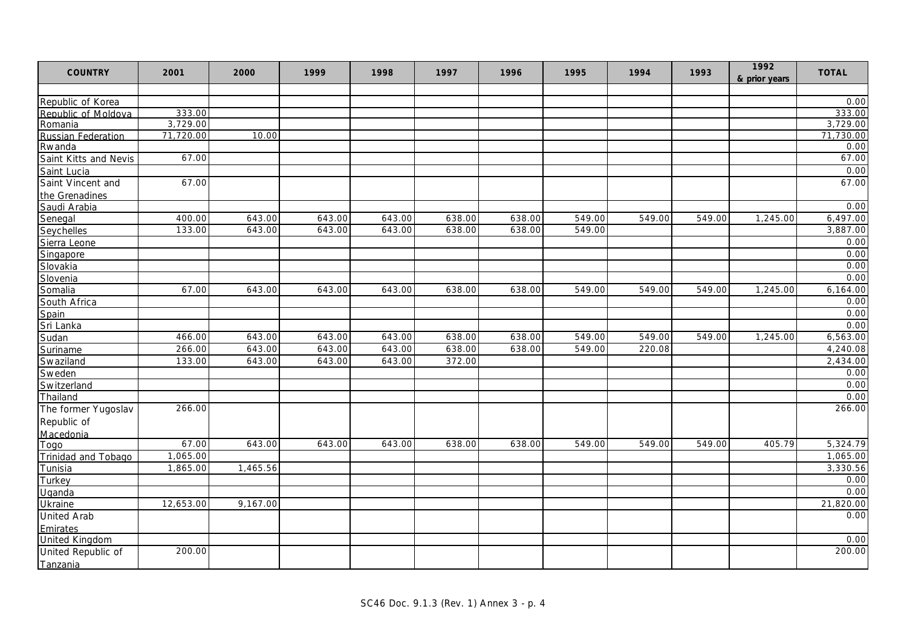| <b>COUNTRY</b>             | 2001      | 2000     | 1999   | 1998   | 1997   | 1996   | 1995   | 1994   | 1993   | 1992<br>& prior years | <b>TOTAL</b>      |
|----------------------------|-----------|----------|--------|--------|--------|--------|--------|--------|--------|-----------------------|-------------------|
|                            |           |          |        |        |        |        |        |        |        |                       |                   |
| Republic of Korea          |           |          |        |        |        |        |        |        |        |                       | 0.00              |
| Republic of Moldova        | 333.00    |          |        |        |        |        |        |        |        |                       | 333.00            |
| Romania                    | 3,729.00  |          |        |        |        |        |        |        |        |                       | 3,729.00          |
| <b>Russian Federation</b>  | 71,720.00 | 10.00    |        |        |        |        |        |        |        |                       | 71,730.00<br>0.00 |
| Rwanda                     | 67.00     |          |        |        |        |        |        |        |        |                       | 67.00             |
| Saint Kitts and Nevis      |           |          |        |        |        |        |        |        |        |                       |                   |
| Saint Lucia                |           |          |        |        |        |        |        |        |        |                       | 0.00              |
| Saint Vincent and          | 67.00     |          |        |        |        |        |        |        |        |                       | 67.00             |
| the Grenadines             |           |          |        |        |        |        |        |        |        |                       |                   |
| Saudi Arabia               |           |          |        |        |        |        |        |        |        |                       | 0.00              |
| Senegal                    | 400.00    | 643.00   | 643.00 | 643.00 | 638.00 | 638.00 | 549.00 | 549.00 | 549.00 | 1,245.00              | 6,497.00          |
| Seychelles                 | 133.00    | 643.00   | 643.00 | 643.00 | 638.00 | 638.00 | 549.00 |        |        |                       | 3,887.00          |
| Sierra Leone               |           |          |        |        |        |        |        |        |        |                       | 0.00              |
| Singapore                  |           |          |        |        |        |        |        |        |        |                       | 0.00              |
| Slovakia                   |           |          |        |        |        |        |        |        |        |                       | 0.00              |
| Slovenia                   |           |          |        |        |        |        |        |        |        |                       | 0.00              |
| Somalia                    | 67.00     | 643.00   | 643.00 | 643.00 | 638.00 | 638.00 | 549.00 | 549.00 | 549.00 | 1,245.00              | 6,164.00          |
| South Africa               |           |          |        |        |        |        |        |        |        |                       | 0.00              |
| Spain                      |           |          |        |        |        |        |        |        |        |                       | 0.00              |
| Sri Lanka                  |           |          |        |        |        |        |        |        |        |                       | 0.00              |
| Sudan                      | 466.00    | 643.00   | 643.00 | 643.00 | 638.00 | 638.00 | 549.00 | 549.00 | 549.00 | 1,245.00              | 6,563.00          |
| Suriname                   | 266.00    | 643.00   | 643.00 | 643.00 | 638.00 | 638.00 | 549.00 | 220.08 |        |                       | 4,240.08          |
| Swaziland                  | 133.00    | 643.00   | 643.00 | 643.00 | 372.00 |        |        |        |        |                       | 2,434.00          |
| Sweden                     |           |          |        |        |        |        |        |        |        |                       | 0.00              |
| Switzerland                |           |          |        |        |        |        |        |        |        |                       | 0.00              |
| Thailand                   |           |          |        |        |        |        |        |        |        |                       | 0.00              |
| The former Yugoslav        | 266.00    |          |        |        |        |        |        |        |        |                       | 266.00            |
| Republic of                |           |          |        |        |        |        |        |        |        |                       |                   |
| Macedonia                  |           |          |        |        |        |        |        |        |        |                       |                   |
| Togo                       | 67.00     | 643.00   | 643.00 | 643.00 | 638.00 | 638.00 | 549.00 | 549.00 | 549.00 | 405.79                | 5,324.79          |
| <b>Trinidad and Tobago</b> | 1,065.00  |          |        |        |        |        |        |        |        |                       | 1,065.00          |
| Tunisia                    | 1,865.00  | 1,465.56 |        |        |        |        |        |        |        |                       | 3,330.56          |
| Turkey                     |           |          |        |        |        |        |        |        |        |                       | 0.00              |
| Uganda                     |           |          |        |        |        |        |        |        |        |                       | 0.00              |
| Ukraine                    | 12,653.00 | 9,167.00 |        |        |        |        |        |        |        |                       | 21,820.00         |
| <b>United Arab</b>         |           |          |        |        |        |        |        |        |        |                       | 0.00              |
| Emirates                   |           |          |        |        |        |        |        |        |        |                       |                   |
| <b>United Kingdom</b>      |           |          |        |        |        |        |        |        |        |                       | 0.00              |
| United Republic of         | 200.00    |          |        |        |        |        |        |        |        |                       | 200.00            |
| Tanzania                   |           |          |        |        |        |        |        |        |        |                       |                   |